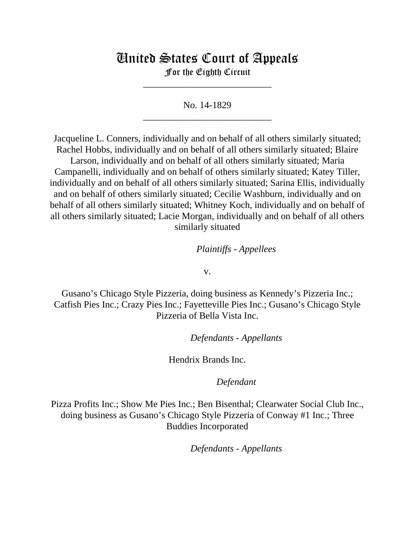# United States Court of Appeals

For the Eighth Circuit \_\_\_\_\_\_\_\_\_\_\_\_\_\_\_\_\_\_\_\_\_\_\_\_\_\_\_

No. 14-1829 \_\_\_\_\_\_\_\_\_\_\_\_\_\_\_\_\_\_\_\_\_\_\_\_\_\_\_

Jacqueline L. Conners, individually and on behalf of all others similarly situated; Rachel Hobbs, individually and on behalf of all others similarly situated; Blaire Larson, individually and on behalf of all others similarly situated; Maria Campanelli, individually and on behalf of others similarly situated; Katey Tiller, individually and on behalf of all others similarly situated; Sarina Ellis, individually and on behalf of others similarly situated; Cecilie Washburn, individually and on behalf of all others similarly situated; Whitney Koch, individually and on behalf of all others similarly situated; Lacie Morgan, individually and on behalf of all others similarly situated

## *Plaintiffs - Appellees*

v.

Gusano's Chicago Style Pizzeria, doing business as Kennedy's Pizzeria Inc.; Catfish Pies Inc.; Crazy Pies Inc.; Fayetteville Pies Inc.; Gusano's Chicago Style Pizzeria of Bella Vista Inc.

lllllllllllllllllllll *Defendants - Appellants*

Hendrix Brands Inc.

### Defendant

Pizza Profits Inc.; Show Me Pies Inc.; Ben Bisenthal; Clearwater Social Club Inc., doing business as Gusano's Chicago Style Pizzeria of Conway #1 Inc.; Three Buddies Incorporated

 $Defendants$  - Appellants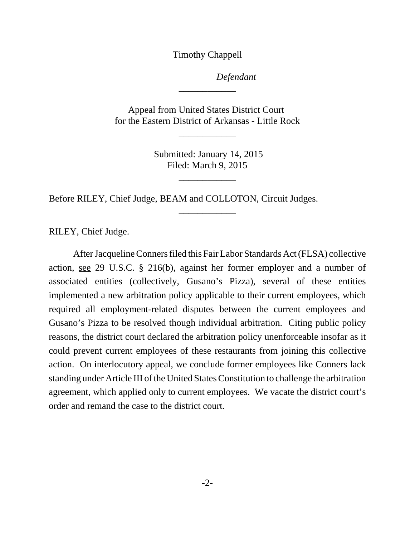Timothy Chappell

Defendant

Appeal from United States District Court for the Eastern District of Arkansas - Little Rock

\_\_\_\_\_\_\_\_\_\_\_\_

\_\_\_\_\_\_\_\_\_\_\_\_

 Submitted: January 14, 2015 Filed: March 9, 2015

\_\_\_\_\_\_\_\_\_\_\_\_

\_\_\_\_\_\_\_\_\_\_\_\_

Before RILEY, Chief Judge, BEAM and COLLOTON, Circuit Judges.

RILEY, Chief Judge.

After Jacqueline Conners filed this Fair Labor Standards Act (FLSA) collective action, see 29 U.S.C. § 216(b), against her former employer and a number of associated entities (collectively, Gusano's Pizza), several of these entities implemented a new arbitration policy applicable to their current employees, which required all employment-related disputes between the current employees and Gusano's Pizza to be resolved though individual arbitration. Citing public policy reasons, the district court declared the arbitration policy unenforceable insofar as it could prevent current employees of these restaurants from joining this collective action. On interlocutory appeal, we conclude former employees like Conners lack standing under Article III of the United States Constitution to challenge the arbitration agreement, which applied only to current employees. We vacate the district court's order and remand the case to the district court.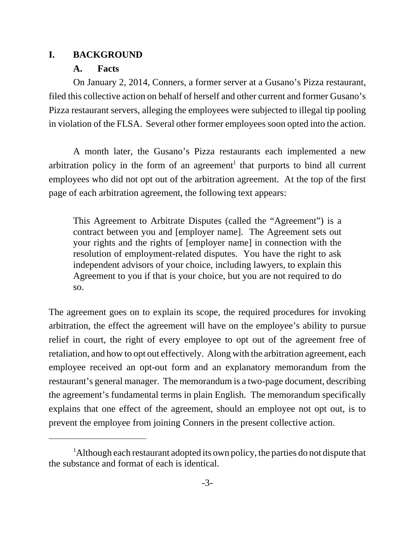## **I. BACKGROUND**

# **A. Facts**

On January 2, 2014, Conners, a former server at a Gusano's Pizza restaurant, filed this collective action on behalf of herself and other current and former Gusano's Pizza restaurant servers, alleging the employees were subjected to illegal tip pooling in violation of the FLSA. Several other former employees soon opted into the action.

A month later, the Gusano's Pizza restaurants each implemented a new arbitration policy in the form of an agreement<sup>1</sup> that purports to bind all current employees who did not opt out of the arbitration agreement. At the top of the first page of each arbitration agreement, the following text appears:

This Agreement to Arbitrate Disputes (called the "Agreement") is a contract between you and [employer name]. The Agreement sets out your rights and the rights of [employer name] in connection with the resolution of employment-related disputes. You have the right to ask independent advisors of your choice, including lawyers, to explain this Agreement to you if that is your choice, but you are not required to do so.

The agreement goes on to explain its scope, the required procedures for invoking arbitration, the effect the agreement will have on the employee's ability to pursue relief in court, the right of every employee to opt out of the agreement free of retaliation, and how to opt out effectively. Along with the arbitration agreement, each employee received an opt-out form and an explanatory memorandum from the restaurant's general manager. The memorandum is a two-page document, describing the agreement's fundamental terms in plain English. The memorandum specifically explains that one effect of the agreement, should an employee not opt out, is to prevent the employee from joining Conners in the present collective action.

<sup>&</sup>lt;sup>1</sup>Although each restaurant adopted its own policy, the parties do not dispute that the substance and format of each is identical.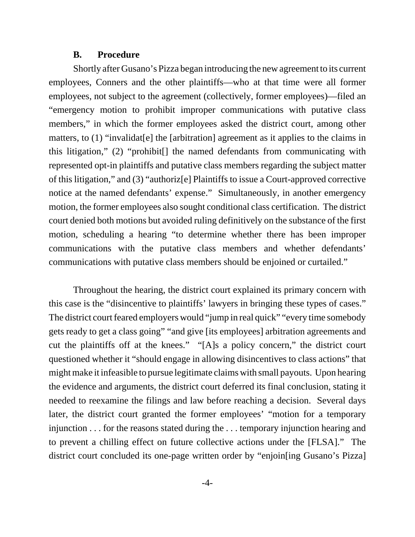#### **B. Procedure**

Shortly after Gusano's Pizza began introducing the new agreement to its current employees, Conners and the other plaintiffs—who at that time were all former employees, not subject to the agreement (collectively, former employees)—filed an "emergency motion to prohibit improper communications with putative class members," in which the former employees asked the district court, among other matters, to (1) "invalidat[e] the [arbitration] agreement as it applies to the claims in this litigation," (2) "prohibit[] the named defendants from communicating with represented opt-in plaintiffs and putative class members regarding the subject matter of this litigation," and (3) "authoriz[e] Plaintiffs to issue a Court-approved corrective notice at the named defendants' expense." Simultaneously, in another emergency motion, the former employees also sought conditional class certification. The district court denied both motions but avoided ruling definitively on the substance of the first motion, scheduling a hearing "to determine whether there has been improper communications with the putative class members and whether defendants' communications with putative class members should be enjoined or curtailed."

Throughout the hearing, the district court explained its primary concern with this case is the "disincentive to plaintiffs' lawyers in bringing these types of cases." The district court feared employers would "jump in real quick" "every time somebody gets ready to get a class going" "and give [its employees] arbitration agreements and cut the plaintiffs off at the knees." "[A]s a policy concern," the district court questioned whether it "should engage in allowing disincentives to class actions" that might make it infeasible to pursue legitimate claims with small payouts. Upon hearing the evidence and arguments, the district court deferred its final conclusion, stating it needed to reexamine the filings and law before reaching a decision. Several days later, the district court granted the former employees' "motion for a temporary injunction . . . for the reasons stated during the . . . temporary injunction hearing and to prevent a chilling effect on future collective actions under the [FLSA]." The district court concluded its one-page written order by "enjoin[ing Gusano's Pizza]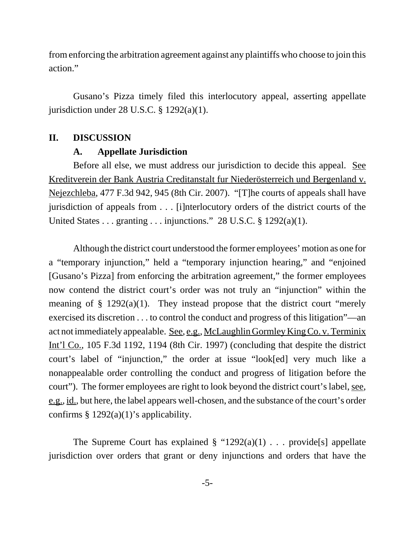from enforcing the arbitration agreement against any plaintiffs who choose to join this action."

Gusano's Pizza timely filed this interlocutory appeal, asserting appellate jurisdiction under 28 U.S.C.  $\S$  1292(a)(1).

#### **II. DISCUSSION**

#### **A. Appellate Jurisdiction**

Before all else, we must address our jurisdiction to decide this appeal. See Kreditverein der Bank Austria Creditanstalt fur Niederösterreich und Bergenland v. Nejezchleba, 477 F.3d 942, 945 (8th Cir. 2007). "[T]he courts of appeals shall have jurisdiction of appeals from . . . [i]nterlocutory orders of the district courts of the United States . . . granting . . . injunctions." 28 U.S.C. § 1292(a)(1).

Although the district court understood the former employees' motion as one for a "temporary injunction," held a "temporary injunction hearing," and "enjoined [Gusano's Pizza] from enforcing the arbitration agreement," the former employees now contend the district court's order was not truly an "injunction" within the meaning of  $\S$  1292(a)(1). They instead propose that the district court "merely exercised its discretion . . . to control the conduct and progress of this litigation"—an act not immediately appealable. See, e.g., McLaughlin Gormley King Co. v. Terminix Int'l Co., 105 F.3d 1192, 1194 (8th Cir. 1997) (concluding that despite the district court's label of "injunction," the order at issue "look[ed] very much like a nonappealable order controlling the conduct and progress of litigation before the court"). The former employees are right to look beyond the district court's label, see, e.g., id., but here, the label appears well-chosen, and the substance of the court's order confirms  $§$  1292(a)(1)'s applicability.

The Supreme Court has explained  $\S$  "1292(a)(1) . . . provide [s] appellate jurisdiction over orders that grant or deny injunctions and orders that have the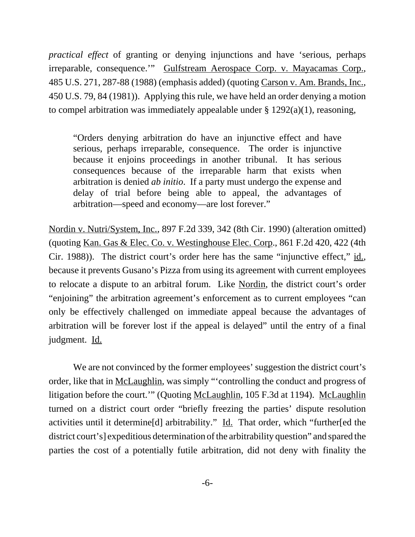*practical effect* of granting or denying injunctions and have 'serious, perhaps irreparable, consequence.'" Gulfstream Aerospace Corp. v. Mayacamas Corp., 485 U.S. 271, 287-88 (1988) (emphasis added) (quoting Carson v. Am. Brands, Inc., 450 U.S. 79, 84 (1981)). Applying this rule, we have held an order denying a motion to compel arbitration was immediately appealable under  $\S$  1292(a)(1), reasoning,

"Orders denying arbitration do have an injunctive effect and have serious, perhaps irreparable, consequence. The order is injunctive because it enjoins proceedings in another tribunal. It has serious consequences because of the irreparable harm that exists when arbitration is denied *ab initio*. If a party must undergo the expense and delay of trial before being able to appeal, the advantages of arbitration—speed and economy—are lost forever."

Nordin v. Nutri/System, Inc., 897 F.2d 339, 342 (8th Cir. 1990) (alteration omitted) (quoting Kan. Gas & Elec. Co. v. Westinghouse Elec. Corp., 861 F.2d 420, 422 (4th Cir. 1988)). The district court's order here has the same "injunctive effect," id., because it prevents Gusano's Pizza from using its agreement with current employees to relocate a dispute to an arbitral forum. Like Nordin, the district court's order "enjoining" the arbitration agreement's enforcement as to current employees "can only be effectively challenged on immediate appeal because the advantages of arbitration will be forever lost if the appeal is delayed" until the entry of a final judgment. Id.

We are not convinced by the former employees' suggestion the district court's order, like that in McLaughlin, was simply "'controlling the conduct and progress of litigation before the court.'" (Quoting McLaughlin, 105 F.3d at 1194). McLaughlin turned on a district court order "briefly freezing the parties' dispute resolution activities until it determine[d] arbitrability." Id. That order, which "further[ed the district court's] expeditious determination of the arbitrability question" and spared the parties the cost of a potentially futile arbitration, did not deny with finality the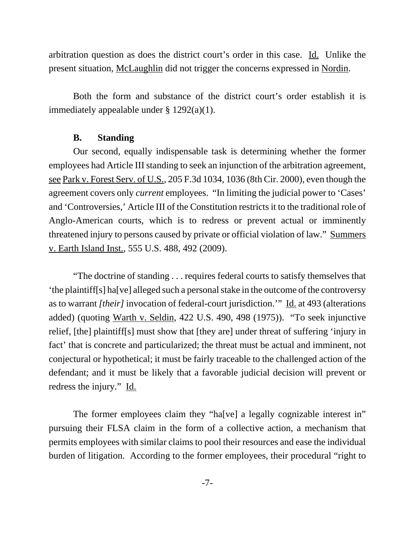arbitration question as does the district court's order in this case. Id. Unlike the present situation, McLaughlin did not trigger the concerns expressed in Nordin.

Both the form and substance of the district court's order establish it is immediately appealable under § 1292(a)(1).

#### **B. Standing**

Our second, equally indispensable task is determining whether the former employees had Article III standing to seek an injunction of the arbitration agreement, see Park v. Forest Serv. of U.S., 205 F.3d 1034, 1036 (8th Cir. 2000), even though the agreement covers only *current* employees. "In limiting the judicial power to 'Cases' and 'Controversies,' Article III of the Constitution restricts it to the traditional role of Anglo-American courts, which is to redress or prevent actual or imminently threatened injury to persons caused by private or official violation of law." Summers v. Earth Island Inst., 555 U.S. 488, 492 (2009).

"The doctrine of standing . . . requires federal courts to satisfy themselves that 'the plaintiff[s] ha[ve] alleged such a personal stake in the outcome of the controversy as to warrant *[their]* invocation of federal-court jurisdiction.'" Id. at 493 (alterations added) (quoting Warth v. Seldin, 422 U.S. 490, 498 (1975)). "To seek injunctive relief, [the] plaintiff[s] must show that [they are] under threat of suffering 'injury in fact' that is concrete and particularized; the threat must be actual and imminent, not conjectural or hypothetical; it must be fairly traceable to the challenged action of the defendant; and it must be likely that a favorable judicial decision will prevent or redress the injury." Id.

The former employees claim they "ha[ve] a legally cognizable interest in" pursuing their FLSA claim in the form of a collective action, a mechanism that permits employees with similar claims to pool their resources and ease the individual burden of litigation. According to the former employees, their procedural "right to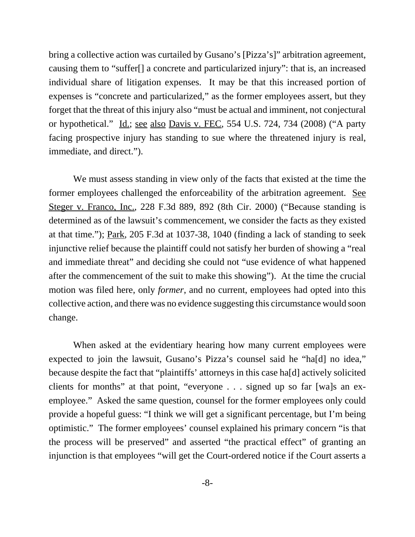bring a collective action was curtailed by Gusano's [Pizza's]" arbitration agreement, causing them to "suffer[] a concrete and particularized injury": that is, an increased individual share of litigation expenses. It may be that this increased portion of expenses is "concrete and particularized," as the former employees assert, but they forget that the threat of this injury also "must be actual and imminent, not conjectural or hypothetical." Id.; see also Davis v. FEC, 554 U.S. 724, 734 (2008) ("A party facing prospective injury has standing to sue where the threatened injury is real, immediate, and direct.").

We must assess standing in view only of the facts that existed at the time the former employees challenged the enforceability of the arbitration agreement. See Steger v. Franco, Inc., 228 F.3d 889, 892 (8th Cir. 2000) ("Because standing is determined as of the lawsuit's commencement, we consider the facts as they existed at that time."); Park, 205 F.3d at 1037-38, 1040 (finding a lack of standing to seek injunctive relief because the plaintiff could not satisfy her burden of showing a "real and immediate threat" and deciding she could not "use evidence of what happened after the commencement of the suit to make this showing"). At the time the crucial motion was filed here, only *former*, and no current, employees had opted into this collective action, and there was no evidence suggesting this circumstance would soon change.

When asked at the evidentiary hearing how many current employees were expected to join the lawsuit, Gusano's Pizza's counsel said he "ha[d] no idea," because despite the fact that "plaintiffs' attorneys in this case ha[d] actively solicited clients for months" at that point, "everyone . . . signed up so far [wa]s an exemployee." Asked the same question, counsel for the former employees only could provide a hopeful guess: "I think we will get a significant percentage, but I'm being optimistic." The former employees' counsel explained his primary concern "is that the process will be preserved" and asserted "the practical effect" of granting an injunction is that employees "will get the Court-ordered notice if the Court asserts a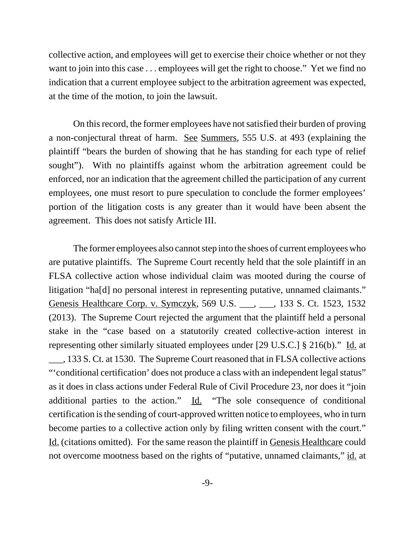collective action, and employees will get to exercise their choice whether or not they want to join into this case . . . employees will get the right to choose." Yet we find no indication that a current employee subject to the arbitration agreement was expected, at the time of the motion, to join the lawsuit.

On this record, the former employees have not satisfied their burden of proving a non-conjectural threat of harm. See Summers, 555 U.S. at 493 (explaining the plaintiff "bears the burden of showing that he has standing for each type of relief sought"). With no plaintiffs against whom the arbitration agreement could be enforced, nor an indication that the agreement chilled the participation of any current employees, one must resort to pure speculation to conclude the former employees' portion of the litigation costs is any greater than it would have been absent the agreement. This does not satisfy Article III.

The former employees also cannot step into the shoes of current employees who are putative plaintiffs. The Supreme Court recently held that the sole plaintiff in an FLSA collective action whose individual claim was mooted during the course of litigation "ha[d] no personal interest in representing putative, unnamed claimants." Genesis Healthcare Corp. v. Symczyk, 569 U.S. \_\_\_, \_\_\_, 133 S. Ct. 1523, 1532 (2013). The Supreme Court rejected the argument that the plaintiff held a personal stake in the "case based on a statutorily created collective-action interest in representing other similarly situated employees under [29 U.S.C.] § 216(b)." Id. at \_\_\_, 133 S. Ct. at 1530. The Supreme Court reasoned that in FLSA collective actions "'conditional certification' does not produce a class with an independent legal status" as it does in class actions under Federal Rule of Civil Procedure 23, nor does it "join additional parties to the action." Id. "The sole consequence of conditional certification is the sending of court-approved written notice to employees, who in turn become parties to a collective action only by filing written consent with the court." Id. (citations omitted). For the same reason the plaintiff in Genesis Healthcare could not overcome mootness based on the rights of "putative, unnamed claimants," id. at